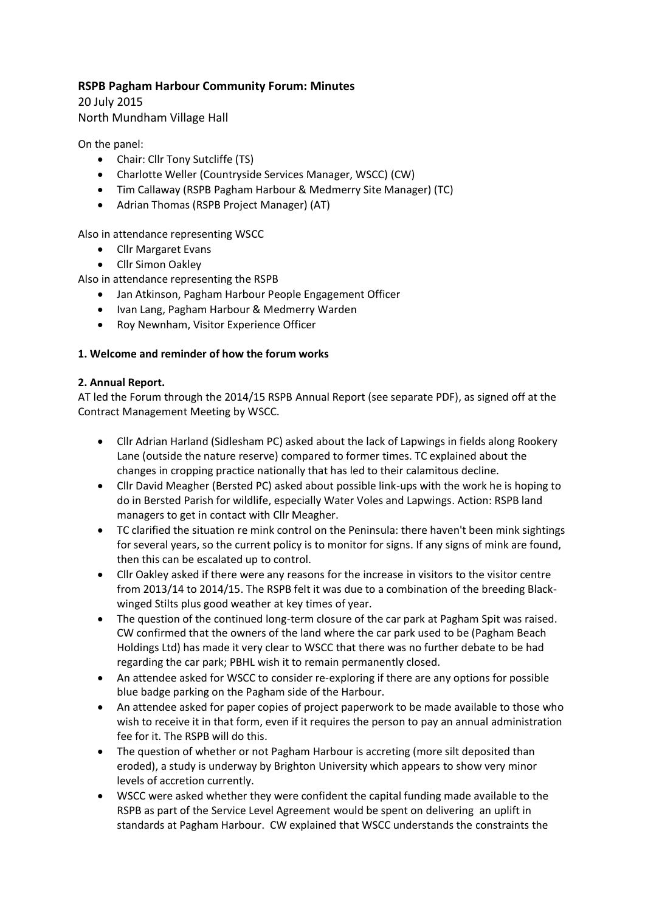# **RSPB Pagham Harbour Community Forum: Minutes**

20 July 2015 North Mundham Village Hall

On the panel:

- Chair: Cllr Tony Sutcliffe (TS)
- Charlotte Weller (Countryside Services Manager, WSCC) (CW)
- Tim Callaway (RSPB Pagham Harbour & Medmerry Site Manager) (TC)
- Adrian Thomas (RSPB Project Manager) (AT)

Also in attendance representing WSCC

- Cllr Margaret Evans
- Cllr Simon Oakley

Also in attendance representing the RSPB

- Jan Atkinson, Pagham Harbour People Engagement Officer
- Ivan Lang, Pagham Harbour & Medmerry Warden
- Roy Newnham, Visitor Experience Officer

## **1. Welcome and reminder of how the forum works**

### **2. Annual Report.**

AT led the Forum through the 2014/15 RSPB Annual Report (see separate PDF), as signed off at the Contract Management Meeting by WSCC.

- Cllr Adrian Harland (Sidlesham PC) asked about the lack of Lapwings in fields along Rookery Lane (outside the nature reserve) compared to former times. TC explained about the changes in cropping practice nationally that has led to their calamitous decline.
- Cllr David Meagher (Bersted PC) asked about possible link-ups with the work he is hoping to do in Bersted Parish for wildlife, especially Water Voles and Lapwings. Action: RSPB land managers to get in contact with Cllr Meagher.
- TC clarified the situation re mink control on the Peninsula: there haven't been mink sightings for several years, so the current policy is to monitor for signs. If any signs of mink are found, then this can be escalated up to control.
- Cllr Oakley asked if there were any reasons for the increase in visitors to the visitor centre from 2013/14 to 2014/15. The RSPB felt it was due to a combination of the breeding Blackwinged Stilts plus good weather at key times of year.
- The question of the continued long-term closure of the car park at Pagham Spit was raised. CW confirmed that the owners of the land where the car park used to be (Pagham Beach Holdings Ltd) has made it very clear to WSCC that there was no further debate to be had regarding the car park; PBHL wish it to remain permanently closed.
- An attendee asked for WSCC to consider re-exploring if there are any options for possible blue badge parking on the Pagham side of the Harbour.
- An attendee asked for paper copies of project paperwork to be made available to those who wish to receive it in that form, even if it requires the person to pay an annual administration fee for it. The RSPB will do this.
- The question of whether or not Pagham Harbour is accreting (more silt deposited than eroded), a study is underway by Brighton University which appears to show very minor levels of accretion currently.
- WSCC were asked whether they were confident the capital funding made available to the RSPB as part of the Service Level Agreement would be spent on delivering an uplift in standards at Pagham Harbour. CW explained that WSCC understands the constraints the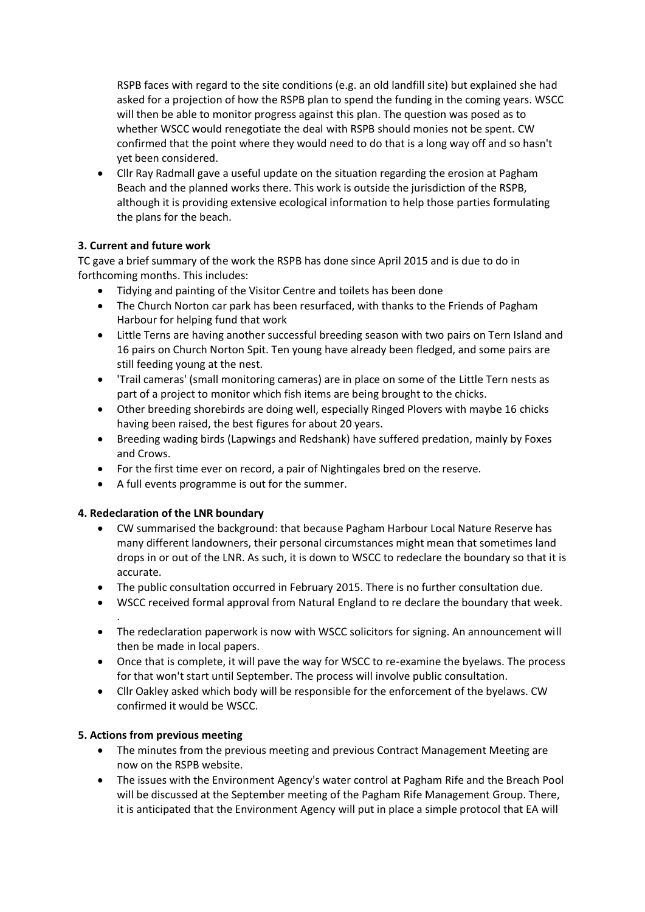RSPB faces with regard to the site conditions (e.g. an old landfill site) but explained she had asked for a projection of how the RSPB plan to spend the funding in the coming years. WSCC will then be able to monitor progress against this plan. The question was posed as to whether WSCC would renegotiate the deal with RSPB should monies not be spent. CW confirmed that the point where they would need to do that is a long way off and so hasn't yet been considered.

 Cllr Ray Radmall gave a useful update on the situation regarding the erosion at Pagham Beach and the planned works there. This work is outside the jurisdiction of the RSPB, although it is providing extensive ecological information to help those parties formulating the plans for the beach.

# **3. Current and future work**

TC gave a brief summary of the work the RSPB has done since April 2015 and is due to do in forthcoming months. This includes:

- Tidying and painting of the Visitor Centre and toilets has been done
- The Church Norton car park has been resurfaced, with thanks to the Friends of Pagham Harbour for helping fund that work
- Little Terns are having another successful breeding season with two pairs on Tern Island and 16 pairs on Church Norton Spit. Ten young have already been fledged, and some pairs are still feeding young at the nest.
- 'Trail cameras' (small monitoring cameras) are in place on some of the Little Tern nests as part of a project to monitor which fish items are being brought to the chicks.
- Other breeding shorebirds are doing well, especially Ringed Plovers with maybe 16 chicks having been raised, the best figures for about 20 years.
- Breeding wading birds (Lapwings and Redshank) have suffered predation, mainly by Foxes and Crows.
- For the first time ever on record, a pair of Nightingales bred on the reserve.
- A full events programme is out for the summer.

## **4. Redeclaration of the LNR boundary**

- CW summarised the background: that because Pagham Harbour Local Nature Reserve has many different landowners, their personal circumstances might mean that sometimes land drops in or out of the LNR. As such, it is down to WSCC to redeclare the boundary so that it is accurate.
- The public consultation occurred in February 2015. There is no further consultation due.
- WSCC received formal approval from Natural England to re declare the boundary that week.
- . The redeclaration paperwork is now with WSCC solicitors for signing. An announcement will then be made in local papers.
- Once that is complete, it will pave the way for WSCC to re-examine the byelaws. The process for that won't start until September. The process will involve public consultation.
- Cllr Oakley asked which body will be responsible for the enforcement of the byelaws. CW confirmed it would be WSCC.

## **5. Actions from previous meeting**

- The minutes from the previous meeting and previous Contract Management Meeting are now on the RSPB website.
- The issues with the Environment Agency's water control at Pagham Rife and the Breach Pool will be discussed at the September meeting of the Pagham Rife Management Group. There, it is anticipated that the Environment Agency will put in place a simple protocol that EA will